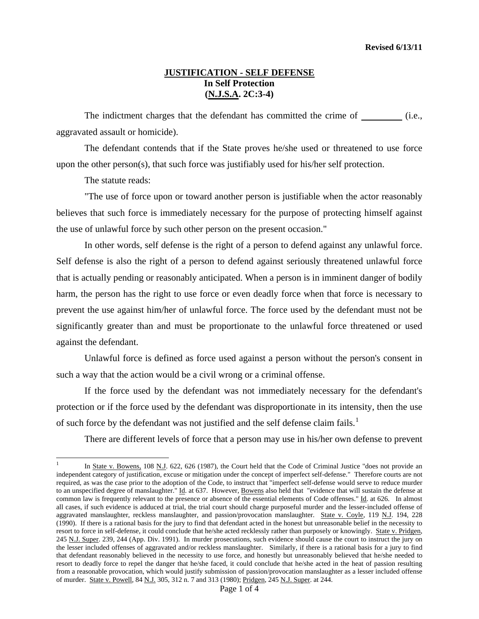## **JUSTIFICATION - SELF DEFENSE In Self Protection (N.J.S.A. 2C:3-4)**

The indictment charges that the defendant has committed the crime of  $\qquad$  (i.e., aggravated assault or homicide).

 The defendant contends that if the State proves he/she used or threatened to use force upon the other person(s), that such force was justifiably used for his/her self protection.

The statute reads:

 $\overline{a}$ 

"The use of force upon or toward another person is justifiable when the actor reasonably believes that such force is immediately necessary for the purpose of protecting himself against the use of unlawful force by such other person on the present occasion."

 In other words, self defense is the right of a person to defend against any unlawful force. Self defense is also the right of a person to defend against seriously threatened unlawful force that is actually pending or reasonably anticipated. When a person is in imminent danger of bodily harm, the person has the right to use force or even deadly force when that force is necessary to prevent the use against him/her of unlawful force. The force used by the defendant must not be significantly greater than and must be proportionate to the unlawful force threatened or used against the defendant.

 Unlawful force is defined as force used against a person without the person's consent in such a way that the action would be a civil wrong or a criminal offense.

 If the force used by the defendant was not immediately necessary for the defendant's protection or if the force used by the defendant was disproportionate in its intensity, then the use of such force by the defendant was not justified and the self defense claim fails.<sup>[1](#page-0-0)</sup>

There are different levels of force that a person may use in his/her own defense to prevent

<span id="page-0-1"></span><span id="page-0-0"></span><sup>1</sup> In State v. Bowens, 108 N.J. 622, 626 (1987), the Court held that the Code of Criminal Justice "does not provide an independent category of justification, excuse or mitigation under the concept of imperfect self-defense." Therefore courts are not required, as was the case prior to the adoption of the Code, to instruct that "imperfect self-defense would serve to reduce murder to an unspecified degree of manslaughter." Id. at 637. However, Bowens also held that "evidence that will sustain the defense at common law is frequently relevant to the presence or absence of the essential elements of Code offenses." Id. at 626. In almost all cases, if such evidence is adduced at trial, the trial court should charge purposeful murder and the lesser-included offense of aggravated manslaughter, reckless manslaughter, and passion/provocation manslaughter. State v. Coyle, 119 N.J. 194, 228 (1990). If there is a rational basis for the jury to find that defendant acted in the honest but unreasonable belief in the necessity to resort to force in self-defense, it could conclude that he/she acted recklessly rather than purposely or knowingly. State v. Pridgen, 245 N.J. Super. 239, 244 (App. Div. 1991). In murder prosecutions, such evidence should cause the court to instruct the jury on the lesser included offenses of aggravated and/or reckless manslaughter. Similarly, if there is a rational basis for a jury to find that defendant reasonably believed in the necessity to use force, and honestly but unreasonably believed that he/she needed to resort to deadly force to repel the danger that he/she faced, it could conclude that he/she acted in the heat of passion resulting from a reasonable provocation, which would justify submission of passion/provocation manslaughter as a lesser included offense of murder. State v. Powell, 84 N.J. 305, 312 n. 7 and 313 (1980); Pridgen, 245 N.J. Super. at 244.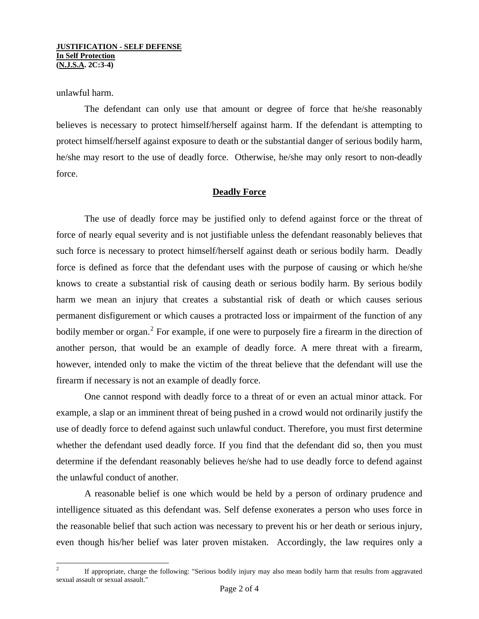unlawful harm.

 The defendant can only use that amount or degree of force that he/she reasonably believes is necessary to protect himself/herself against harm. If the defendant is attempting to protect himself/herself against exposure to death or the substantial danger of serious bodily harm, he/she may resort to the use of deadly force. Otherwise, he/she may only resort to non-deadly force.

## **Deadly Force**

 The use of deadly force may be justified only to defend against force or the threat of force of nearly equal severity and is not justifiable unless the defendant reasonably believes that such force is necessary to protect himself/herself against death or serious bodily harm. Deadly force is defined as force that the defendant uses with the purpose of causing or which he/she knows to create a substantial risk of causing death or serious bodily harm. By serious bodily harm we mean an injury that creates a substantial risk of death or which causes serious permanent disfigurement or which causes a protracted loss or impairment of the function of any bodily member or organ.<sup>[2](#page-0-1)</sup> For example, if one were to purposely fire a firearm in the direction of another person, that would be an example of deadly force. A mere threat with a firearm, however, intended only to make the victim of the threat believe that the defendant will use the firearm if necessary is not an example of deadly force.

 One cannot respond with deadly force to a threat of or even an actual minor attack. For example, a slap or an imminent threat of being pushed in a crowd would not ordinarily justify the use of deadly force to defend against such unlawful conduct. Therefore, you must first determine whether the defendant used deadly force. If you find that the defendant did so, then you must determine if the defendant reasonably believes he/she had to use deadly force to defend against the unlawful conduct of another.

<span id="page-1-0"></span> A reasonable belief is one which would be held by a person of ordinary prudence and intelligence situated as this defendant was. Self defense exonerates a person who uses force in the reasonable belief that such action was necessary to prevent his or her death or serious injury, even though his/her belief was later proven mistaken. Accordingly, the law requires only a

 $\frac{1}{2}$  If appropriate, charge the following: "Serious bodily injury may also mean bodily harm that results from aggravated sexual assault or sexual assault."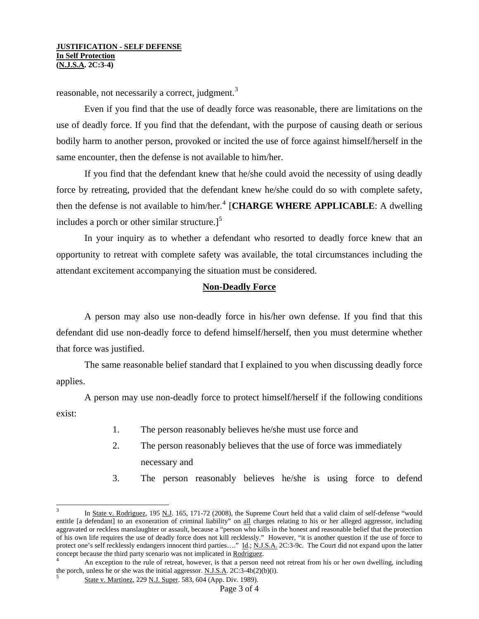reasonable, not necessarily a correct, judgment.<sup>[3](#page-1-0)</sup>

 Even if you find that the use of deadly force was reasonable, there are limitations on the use of deadly force. If you find that the defendant, with the purpose of causing death or serious bodily harm to another person, provoked or incited the use of force against himself/herself in the same encounter, then the defense is not available to him/her.

 If you find that the defendant knew that he/she could avoid the necessity of using deadly force by retreating, provided that the defendant knew he/she could do so with complete safety, then the defense is not available to him/her.<sup>[4](#page-2-0)</sup> [CHARGE WHERE APPLICABLE: A dwelling includes a porch or other similar structure. $]^{5}$  $]^{5}$  $]^{5}$ 

 In your inquiry as to whether a defendant who resorted to deadly force knew that an opportunity to retreat with complete safety was available, the total circumstances including the attendant excitement accompanying the situation must be considered.

## **Non-Deadly Force**

 A person may also use non-deadly force in his/her own defense. If you find that this defendant did use non-deadly force to defend himself/herself, then you must determine whether that force was justified.

 The same reasonable belief standard that I explained to you when discussing deadly force applies.

 A person may use non-deadly force to protect himself/herself if the following conditions exist:

- 1. The person reasonably believes he/she must use force and
- 2. The person reasonably believes that the use of force was immediately necessary and
- 3. The person reasonably believes he/she is using force to defend

 $\overline{a}$ 

<sup>3</sup> In State v. Rodriguez, 195 N.J. 165, 171-72 (2008), the Supreme Court held that a valid claim of self-defense "would entitle [a defendant] to an exoneration of criminal liability" on all charges relating to his or her alleged aggressor, including aggravated or reckless manslaughter or assault, because a "person who kills in the honest and reasonable belief that the protection of his own life requires the use of deadly force does not kill recklessly." However, "it is another question if the use of force to protect one's self recklessly endangers innocent third parties...." Id.; N.J.S.A. 2C:3-9c. The Court did not expand upon the latter concept because the third party scenario was not implicated in Rodriguez. 4

<span id="page-2-1"></span><span id="page-2-0"></span>An exception to the rule of retreat, however, is that a person need not retreat from his or her own dwelling, including the porch, unless he or she was the initial aggressor.  $\underline{N.J.S.A}$ .  $2C:3-4b(2)(b)(i)$ .<br><sup>5</sup> State v. Martinez, 229 N.J. Super. 583, 604 (App. Div. 1989).

Page 3 of 4